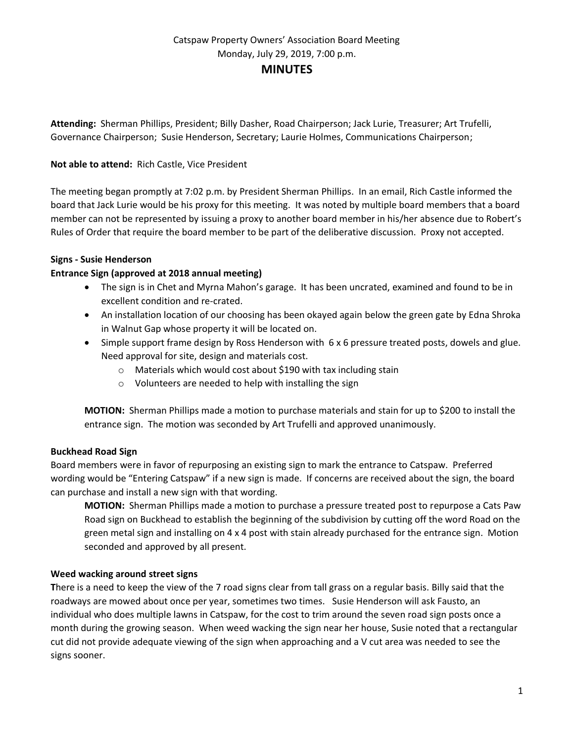**Attending:** Sherman Phillips, President; Billy Dasher, Road Chairperson; Jack Lurie, Treasurer; Art Trufelli, Governance Chairperson; Susie Henderson, Secretary; Laurie Holmes, Communications Chairperson;

### **Not able to attend:** Rich Castle, Vice President

The meeting began promptly at 7:02 p.m. by President Sherman Phillips. In an email, Rich Castle informed the board that Jack Lurie would be his proxy for this meeting. It was noted by multiple board members that a board member can not be represented by issuing a proxy to another board member in his/her absence due to Robert's Rules of Order that require the board member to be part of the deliberative discussion. Proxy not accepted.

### **Signs - Susie Henderson**

### **Entrance Sign (approved at 2018 annual meeting)**

- The sign is in Chet and Myrna Mahon's garage. It has been uncrated, examined and found to be in excellent condition and re-crated.
- An installation location of our choosing has been okayed again below the green gate by Edna Shroka in Walnut Gap whose property it will be located on.
- Simple support frame design by Ross Henderson with 6 x 6 pressure treated posts, dowels and glue. Need approval for site, design and materials cost.
	- o Materials which would cost about \$190 with tax including stain
	- $\circ$  Volunteers are needed to help with installing the sign

**MOTION:** Sherman Phillips made a motion to purchase materials and stain for up to \$200 to install the entrance sign. The motion was seconded by Art Trufelli and approved unanimously.

### **Buckhead Road Sign**

Board members were in favor of repurposing an existing sign to mark the entrance to Catspaw. Preferred wording would be "Entering Catspaw" if a new sign is made. If concerns are received about the sign, the board can purchase and install a new sign with that wording.

**MOTION:** Sherman Phillips made a motion to purchase a pressure treated post to repurpose a Cats Paw Road sign on Buckhead to establish the beginning of the subdivision by cutting off the word Road on the green metal sign and installing on 4 x 4 post with stain already purchased for the entrance sign. Motion seconded and approved by all present.

### **Weed wacking around street signs**

**T**here is a need to keep the view of the 7 road signs clear from tall grass on a regular basis. Billy said that the roadways are mowed about once per year, sometimes two times. Susie Henderson will ask Fausto, an individual who does multiple lawns in Catspaw, for the cost to trim around the seven road sign posts once a month during the growing season. When weed wacking the sign near her house, Susie noted that a rectangular cut did not provide adequate viewing of the sign when approaching and a V cut area was needed to see the signs sooner.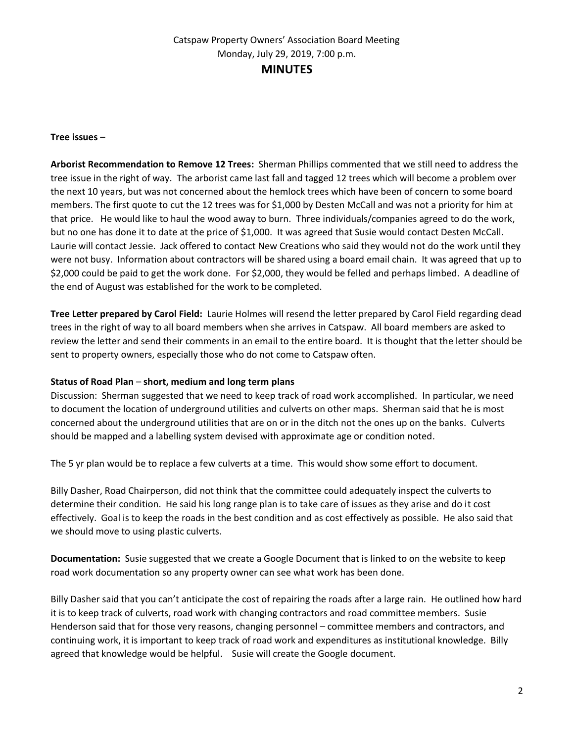### **Tree issues** –

**Arborist Recommendation to Remove 12 Trees:** Sherman Phillips commented that we still need to address the tree issue in the right of way. The arborist came last fall and tagged 12 trees which will become a problem over the next 10 years, but was not concerned about the hemlock trees which have been of concern to some board members. The first quote to cut the 12 trees was for \$1,000 by Desten McCall and was not a priority for him at that price. He would like to haul the wood away to burn. Three individuals/companies agreed to do the work, but no one has done it to date at the price of \$1,000. It was agreed that Susie would contact Desten McCall. Laurie will contact Jessie. Jack offered to contact New Creations who said they would not do the work until they were not busy. Information about contractors will be shared using a board email chain. It was agreed that up to \$2,000 could be paid to get the work done. For \$2,000, they would be felled and perhaps limbed. A deadline of the end of August was established for the work to be completed.

**Tree Letter prepared by Carol Field:** Laurie Holmes will resend the letter prepared by Carol Field regarding dead trees in the right of way to all board members when she arrives in Catspaw. All board members are asked to review the letter and send their comments in an email to the entire board. It is thought that the letter should be sent to property owners, especially those who do not come to Catspaw often.

## **Status of Road Plan** – **short, medium and long term plans**

Discussion: Sherman suggested that we need to keep track of road work accomplished. In particular, we need to document the location of underground utilities and culverts on other maps. Sherman said that he is most concerned about the underground utilities that are on or in the ditch not the ones up on the banks. Culverts should be mapped and a labelling system devised with approximate age or condition noted.

The 5 yr plan would be to replace a few culverts at a time. This would show some effort to document.

Billy Dasher, Road Chairperson, did not think that the committee could adequately inspect the culverts to determine their condition. He said his long range plan is to take care of issues as they arise and do it cost effectively. Goal is to keep the roads in the best condition and as cost effectively as possible. He also said that we should move to using plastic culverts.

**Documentation:** Susie suggested that we create a Google Document that is linked to on the website to keep road work documentation so any property owner can see what work has been done.

Billy Dasher said that you can't anticipate the cost of repairing the roads after a large rain. He outlined how hard it is to keep track of culverts, road work with changing contractors and road committee members. Susie Henderson said that for those very reasons, changing personnel – committee members and contractors, and continuing work, it is important to keep track of road work and expenditures as institutional knowledge. Billy agreed that knowledge would be helpful. Susie will create the Google document.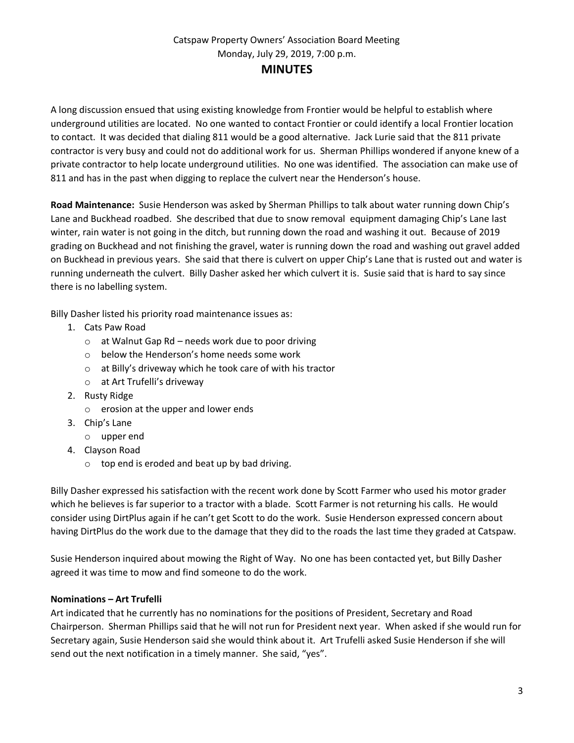A long discussion ensued that using existing knowledge from Frontier would be helpful to establish where underground utilities are located. No one wanted to contact Frontier or could identify a local Frontier location to contact. It was decided that dialing 811 would be a good alternative. Jack Lurie said that the 811 private contractor is very busy and could not do additional work for us. Sherman Phillips wondered if anyone knew of a private contractor to help locate underground utilities. No one was identified. The association can make use of 811 and has in the past when digging to replace the culvert near the Henderson's house.

**Road Maintenance:** Susie Henderson was asked by Sherman Phillips to talk about water running down Chip's Lane and Buckhead roadbed. She described that due to snow removal equipment damaging Chip's Lane last winter, rain water is not going in the ditch, but running down the road and washing it out. Because of 2019 grading on Buckhead and not finishing the gravel, water is running down the road and washing out gravel added on Buckhead in previous years. She said that there is culvert on upper Chip's Lane that is rusted out and water is running underneath the culvert. Billy Dasher asked her which culvert it is. Susie said that is hard to say since there is no labelling system.

Billy Dasher listed his priority road maintenance issues as:

- 1. Cats Paw Road
	- o at Walnut Gap Rd needs work due to poor driving
	- o below the Henderson's home needs some work
	- o at Billy's driveway which he took care of with his tractor
	- o at Art Trufelli's driveway
- 2. Rusty Ridge
	- o erosion at the upper and lower ends
- 3. Chip's Lane
	- o upper end
- 4. Clayson Road
	- o top end is eroded and beat up by bad driving.

Billy Dasher expressed his satisfaction with the recent work done by Scott Farmer who used his motor grader which he believes is far superior to a tractor with a blade. Scott Farmer is not returning his calls. He would consider using DirtPlus again if he can't get Scott to do the work. Susie Henderson expressed concern about having DirtPlus do the work due to the damage that they did to the roads the last time they graded at Catspaw.

Susie Henderson inquired about mowing the Right of Way. No one has been contacted yet, but Billy Dasher agreed it was time to mow and find someone to do the work.

## **Nominations – Art Trufelli**

Art indicated that he currently has no nominations for the positions of President, Secretary and Road Chairperson. Sherman Phillips said that he will not run for President next year. When asked if she would run for Secretary again, Susie Henderson said she would think about it. Art Trufelli asked Susie Henderson if she will send out the next notification in a timely manner. She said, "yes".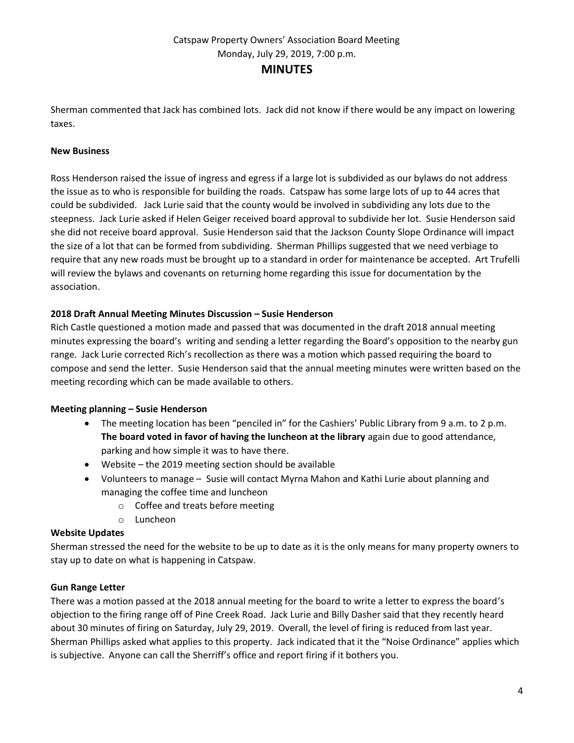Sherman commented that Jack has combined lots. Jack did not know if there would be any impact on lowering taxes.

## **New Business**

Ross Henderson raised the issue of ingress and egress if a large lot is subdivided as our bylaws do not address the issue as to who is responsible for building the roads. Catspaw has some large lots of up to 44 acres that could be subdivided. Jack Lurie said that the county would be involved in subdividing any lots due to the steepness. Jack Lurie asked if Helen Geiger received board approval to subdivide her lot. Susie Henderson said she did not receive board approval. Susie Henderson said that the Jackson County Slope Ordinance will impact the size of a lot that can be formed from subdividing. Sherman Phillips suggested that we need verbiage to require that any new roads must be brought up to a standard in order for maintenance be accepted. Art Trufelli will review the bylaws and covenants on returning home regarding this issue for documentation by the association.

## **2018 Draft Annual Meeting Minutes Discussion – Susie Henderson**

Rich Castle questioned a motion made and passed that was documented in the draft 2018 annual meeting minutes expressing the board's writing and sending a letter regarding the Board's opposition to the nearby gun range. Jack Lurie corrected Rich's recollection as there was a motion which passed requiring the board to compose and send the letter. Susie Henderson said that the annual meeting minutes were written based on the meeting recording which can be made available to others.

### **Meeting planning – Susie Henderson**

- The meeting location has been "penciled in" for the Cashiers' Public Library from 9 a.m. to 2 p.m. **The board voted in favor of having the luncheon at the library** again due to good attendance, parking and how simple it was to have there.
- Website the 2019 meeting section should be available
- Volunteers to manage Susie will contact Myrna Mahon and Kathi Lurie about planning and managing the coffee time and luncheon
	- o Coffee and treats before meeting
	- o Luncheon

### **Website Updates**

Sherman stressed the need for the website to be up to date as it is the only means for many property owners to stay up to date on what is happening in Catspaw.

### **Gun Range Letter**

There was a motion passed at the 2018 annual meeting for the board to write a letter to express the board's objection to the firing range off of Pine Creek Road. Jack Lurie and Billy Dasher said that they recently heard about 30 minutes of firing on Saturday, July 29, 2019. Overall, the level of firing is reduced from last year. Sherman Phillips asked what applies to this property. Jack indicated that it the "Noise Ordinance" applies which is subjective. Anyone can call the Sherriff's office and report firing if it bothers you.